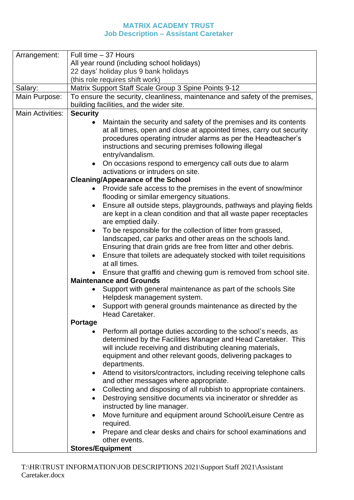## **MATRIX ACADEMY TRUST Job Description – Assistant Caretaker**

| Arrangement:            | Full time - 37 Hours                                                                                                                                                                                                                                                                                                                                                                                                                                                                                                                                                                                                                                                                                                                                                                                                                                                                                                                                                                                                                                                                                                                                                                                                                                                                                                                                                                                                                                                                                                                                                                                                                                                                                                                                                                                                                                                                                                                                                                                                                                      |  |  |  |
|-------------------------|-----------------------------------------------------------------------------------------------------------------------------------------------------------------------------------------------------------------------------------------------------------------------------------------------------------------------------------------------------------------------------------------------------------------------------------------------------------------------------------------------------------------------------------------------------------------------------------------------------------------------------------------------------------------------------------------------------------------------------------------------------------------------------------------------------------------------------------------------------------------------------------------------------------------------------------------------------------------------------------------------------------------------------------------------------------------------------------------------------------------------------------------------------------------------------------------------------------------------------------------------------------------------------------------------------------------------------------------------------------------------------------------------------------------------------------------------------------------------------------------------------------------------------------------------------------------------------------------------------------------------------------------------------------------------------------------------------------------------------------------------------------------------------------------------------------------------------------------------------------------------------------------------------------------------------------------------------------------------------------------------------------------------------------------------------------|--|--|--|
|                         | All year round (including school holidays)                                                                                                                                                                                                                                                                                                                                                                                                                                                                                                                                                                                                                                                                                                                                                                                                                                                                                                                                                                                                                                                                                                                                                                                                                                                                                                                                                                                                                                                                                                                                                                                                                                                                                                                                                                                                                                                                                                                                                                                                                |  |  |  |
|                         | 22 days' holiday plus 9 bank holidays                                                                                                                                                                                                                                                                                                                                                                                                                                                                                                                                                                                                                                                                                                                                                                                                                                                                                                                                                                                                                                                                                                                                                                                                                                                                                                                                                                                                                                                                                                                                                                                                                                                                                                                                                                                                                                                                                                                                                                                                                     |  |  |  |
|                         | (this role requires shift work)                                                                                                                                                                                                                                                                                                                                                                                                                                                                                                                                                                                                                                                                                                                                                                                                                                                                                                                                                                                                                                                                                                                                                                                                                                                                                                                                                                                                                                                                                                                                                                                                                                                                                                                                                                                                                                                                                                                                                                                                                           |  |  |  |
| Salary:                 | Matrix Support Staff Scale Group 3 Spine Points 9-12                                                                                                                                                                                                                                                                                                                                                                                                                                                                                                                                                                                                                                                                                                                                                                                                                                                                                                                                                                                                                                                                                                                                                                                                                                                                                                                                                                                                                                                                                                                                                                                                                                                                                                                                                                                                                                                                                                                                                                                                      |  |  |  |
| Main Purpose:           | To ensure the security, cleanliness, maintenance and safety of the premises,                                                                                                                                                                                                                                                                                                                                                                                                                                                                                                                                                                                                                                                                                                                                                                                                                                                                                                                                                                                                                                                                                                                                                                                                                                                                                                                                                                                                                                                                                                                                                                                                                                                                                                                                                                                                                                                                                                                                                                              |  |  |  |
|                         | building facilities, and the wider site.                                                                                                                                                                                                                                                                                                                                                                                                                                                                                                                                                                                                                                                                                                                                                                                                                                                                                                                                                                                                                                                                                                                                                                                                                                                                                                                                                                                                                                                                                                                                                                                                                                                                                                                                                                                                                                                                                                                                                                                                                  |  |  |  |
| <b>Main Activities:</b> | <b>Security</b>                                                                                                                                                                                                                                                                                                                                                                                                                                                                                                                                                                                                                                                                                                                                                                                                                                                                                                                                                                                                                                                                                                                                                                                                                                                                                                                                                                                                                                                                                                                                                                                                                                                                                                                                                                                                                                                                                                                                                                                                                                           |  |  |  |
|                         | Maintain the security and safety of the premises and its contents<br>at all times, open and close at appointed times, carry out security<br>procedures operating intruder alarms as per the Headteacher's<br>instructions and securing premises following illegal<br>entry/vandalism.<br>On occasions respond to emergency call outs due to alarm<br>activations or intruders on site.<br><b>Cleaning/Appearance of the School</b><br>Provide safe access to the premises in the event of snow/minor<br>flooding or similar emergency situations.<br>Ensure all outside steps, playgrounds, pathways and playing fields<br>are kept in a clean condition and that all waste paper receptacles<br>are emptied daily.<br>To be responsible for the collection of litter from grassed,<br>landscaped, car parks and other areas on the schools land.<br>Ensuring that drain grids are free from litter and other debris.<br>Ensure that toilets are adequately stocked with toilet requisitions<br>at all times.<br>Ensure that graffiti and chewing gum is removed from school site.<br><b>Maintenance and Grounds</b><br>Support with general maintenance as part of the schools Site<br>Helpdesk management system.<br>Support with general grounds maintenance as directed by the<br>Head Caretaker.<br><b>Portage</b><br>Perform all portage duties according to the school's needs, as<br>determined by the Facilities Manager and Head Caretaker. This<br>will include receiving and distributing cleaning materials,<br>equipment and other relevant goods, delivering packages to<br>departments.<br>Attend to visitors/contractors, including receiving telephone calls<br>and other messages where appropriate.<br>Collecting and disposing of all rubbish to appropriate containers.<br>$\bullet$<br>Destroying sensitive documents via incinerator or shredder as<br>instructed by line manager.<br>Move furniture and equipment around School/Leisure Centre as<br>required.<br>Prepare and clear desks and chairs for school examinations and |  |  |  |
|                         |                                                                                                                                                                                                                                                                                                                                                                                                                                                                                                                                                                                                                                                                                                                                                                                                                                                                                                                                                                                                                                                                                                                                                                                                                                                                                                                                                                                                                                                                                                                                                                                                                                                                                                                                                                                                                                                                                                                                                                                                                                                           |  |  |  |
|                         | other events.                                                                                                                                                                                                                                                                                                                                                                                                                                                                                                                                                                                                                                                                                                                                                                                                                                                                                                                                                                                                                                                                                                                                                                                                                                                                                                                                                                                                                                                                                                                                                                                                                                                                                                                                                                                                                                                                                                                                                                                                                                             |  |  |  |
|                         | <b>Stores/Equipment</b>                                                                                                                                                                                                                                                                                                                                                                                                                                                                                                                                                                                                                                                                                                                                                                                                                                                                                                                                                                                                                                                                                                                                                                                                                                                                                                                                                                                                                                                                                                                                                                                                                                                                                                                                                                                                                                                                                                                                                                                                                                   |  |  |  |